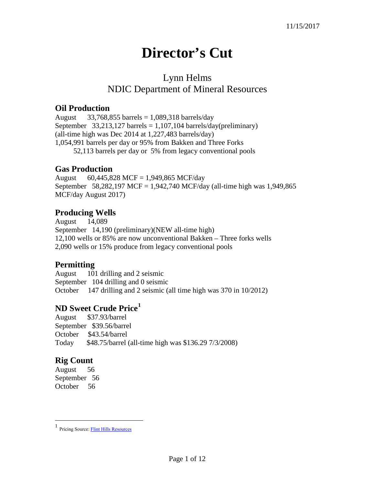# **Director's Cut**

## Lynn Helms NDIC Department of Mineral Resources

#### **Oil Production**

August  $33,768,855$  barrels = 1,089,318 barrels/day September  $33,213,127$  barrels = 1,107,104 barrels/day(preliminary) (all-time high was Dec 2014 at 1,227,483 barrels/day) 1,054,991 barrels per day or 95% from Bakken and Three Forks 52,113 barrels per day or 5% from legacy conventional pools

#### **Gas Production**

August 60,445,828 MCF = 1,949,865 MCF/day September 58,282,197 MCF = 1,942,740 MCF/day (all-time high was 1,949,865 MCF/day August 2017)

## **Producing Wells**

August 14,089 September 14,190 (preliminary)(NEW all-time high) 12,100 wells or 85% are now unconventional Bakken – Three forks wells 2,090 wells or 15% produce from legacy conventional pools

## **Permitting**

August 101 drilling and 2 seismic September 104 drilling and 0 seismic October 147 drilling and 2 seismic (all time high was 370 in 10/2012)

## **ND Sweet Crude Price[1](#page-0-0)**

August \$37.93/barrel September \$39.56/barrel October \$43.54/barrel Today \$48.75/barrel (all-time high was \$136.29 7/3/2008)

## **Rig Count**

August 56 September 56 October 56

<span id="page-0-0"></span> $\frac{1}{1}$ Pricing Source[: Flint Hills Resources](http://www.fhr.com/refining/bulletins.aspx?AspxAutoDetectCookieSupport=1)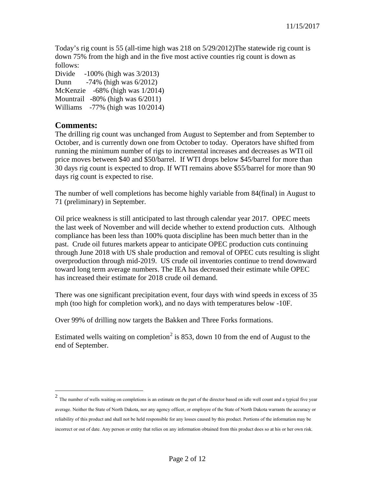Today's rig count is 55 (all-time high was 218 on 5/29/2012)The statewide rig count is down 75% from the high and in the five most active counties rig count is down as follows:

Divide -100% (high was 3/2013) Dunn -74% (high was 6/2012) McKenzie -68% (high was 1/2014) Mountrail -80% (high was 6/2011)

Williams -77% (high was 10/2014)

#### **Comments:**

The drilling rig count was unchanged from August to September and from September to October, and is currently down one from October to today. Operators have shifted from running the minimum number of rigs to incremental increases and decreases as WTI oil price moves between \$40 and \$50/barrel. If WTI drops below \$45/barrel for more than 30 days rig count is expected to drop. If WTI remains above \$55/barrel for more than 90 days rig count is expected to rise.

The number of well completions has become highly variable from 84(final) in August to 71 (preliminary) in September.

Oil price weakness is still anticipated to last through calendar year 2017. OPEC meets the last week of November and will decide whether to extend production cuts. Although compliance has been less than 100% quota discipline has been much better than in the past. Crude oil futures markets appear to anticipate OPEC production cuts continuing through June 2018 with US shale production and removal of OPEC cuts resulting is slight overproduction through mid-2019. US crude oil inventories continue to trend downward toward long term average numbers. The IEA has decreased their estimate while OPEC has increased their estimate for 2018 crude oil demand.

There was one significant precipitation event, four days with wind speeds in excess of 35 mph (too high for completion work), and no days with temperatures below -10F.

Over 99% of drilling now targets the Bakken and Three Forks formations.

Estimated wells waiting on completion<sup>[2](#page-1-0)</sup> is 853, down 10 from the end of August to the end of September.

<span id="page-1-0"></span><sup>&</sup>lt;sup>2</sup> The number of wells waiting on completions is an estimate on the part of the director based on idle well count and a typical five year average. Neither the State of North Dakota, nor any agency officer, or employee of the State of North Dakota warrants the accuracy or reliability of this product and shall not be held responsible for any losses caused by this product. Portions of the information may be incorrect or out of date. Any person or entity that relies on any information obtained from this product does so at his or her own risk.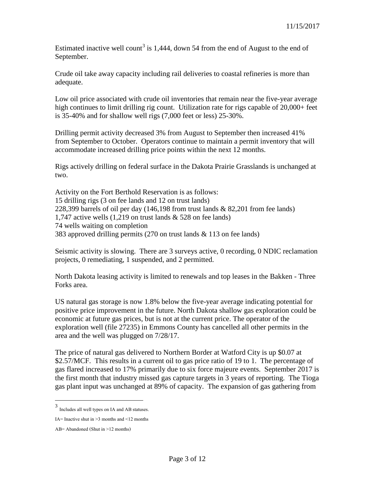Estimated inactive well count<sup>[3](#page-2-0)</sup> is 1,444, down 54 from the end of August to the end of September.

Crude oil take away capacity including rail deliveries to coastal refineries is more than adequate.

Low oil price associated with crude oil inventories that remain near the five-year average high continues to limit drilling rig count. Utilization rate for rigs capable of 20,000+ feet is 35-40% and for shallow well rigs (7,000 feet or less) 25-30%.

Drilling permit activity decreased 3% from August to September then increased 41% from September to October. Operators continue to maintain a permit inventory that will accommodate increased drilling price points within the next 12 months.

Rigs actively drilling on federal surface in the Dakota Prairie Grasslands is unchanged at two.

Activity on the Fort Berthold Reservation is as follows: 15 drilling rigs (3 on fee lands and 12 on trust lands) 228,399 barrels of oil per day (146,198 from trust lands & 82,201 from fee lands) 1,747 active wells (1,219 on trust lands & 528 on fee lands) 74 wells waiting on completion 383 approved drilling permits (270 on trust lands & 113 on fee lands)

Seismic activity is slowing. There are 3 surveys active, 0 recording, 0 NDIC reclamation projects, 0 remediating, 1 suspended, and 2 permitted.

North Dakota leasing activity is limited to renewals and top leases in the Bakken - Three Forks area.

US natural gas storage is now 1.8% below the five-year average indicating potential for positive price improvement in the future. North Dakota shallow gas exploration could be economic at future gas prices, but is not at the current price. The operator of the exploration well (file 27235) in Emmons County has cancelled all other permits in the area and the well was plugged on 7/28/17.

The price of natural gas delivered to Northern Border at Watford City is up \$0.07 at \$2.57/MCF. This results in a current oil to gas price ratio of 19 to 1. The percentage of gas flared increased to 17% primarily due to six force majeure events. September 2017 is the first month that industry missed gas capture targets in 3 years of reporting. The Tioga gas plant input was unchanged at 89% of capacity. The expansion of gas gathering from

<span id="page-2-0"></span> <sup>3</sup> Includes all well types on IA and AB statuses.

IA= Inactive shut in  $\geq$ 3 months and  $\leq$ 12 months

AB= Abandoned (Shut in >12 months)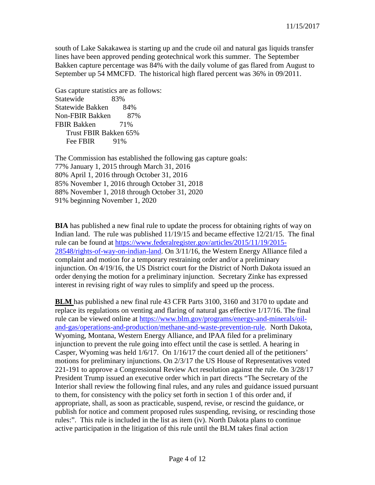south of Lake Sakakawea is starting up and the crude oil and natural gas liquids transfer lines have been approved pending geotechnical work this summer. The September Bakken capture percentage was 84% with the daily volume of gas flared from August to September up 54 MMCFD. The historical high flared percent was 36% in 09/2011.

Gas capture statistics are as follows: Statewide 83% Statewide Bakken 84% Non-FBIR Bakken 87% FBIR Bakken 71% Trust FBIR Bakken 65% Fee FBIR 91%

The Commission has established the following gas capture goals: 77% January 1, 2015 through March 31, 2016 80% April 1, 2016 through October 31, 2016 85% November 1, 2016 through October 31, 2018 88% November 1, 2018 through October 31, 2020 91% beginning November 1, 2020

**BIA** has published a new final rule to update the process for obtaining rights of way on Indian land. The rule was published 11/19/15 and became effective 12/21/15. The final rule can be found at [https://www.federalregister.gov/articles/2015/11/19/2015-](https://www.federalregister.gov/articles/2015/11/19/2015-28548/rights-of-way-on-indian-land) [28548/rights-of-way-on-indian-land.](https://www.federalregister.gov/articles/2015/11/19/2015-28548/rights-of-way-on-indian-land) On 3/11/16, the Western Energy Alliance filed a complaint and motion for a temporary restraining order and/or a preliminary injunction. On 4/19/16, the US District court for the District of North Dakota issued an order denying the motion for a preliminary injunction. Secretary Zinke has expressed interest in revising right of way rules to simplify and speed up the process.

**BLM** has published a new final rule 43 CFR Parts 3100, 3160 and 3170 to update and replace its regulations on venting and flaring of natural gas effective 1/17/16. The final rule can be viewed online at [https://www.blm.gov/programs/energy-and-minerals/oil](https://www.blm.gov/programs/energy-and-minerals/oil-and-gas/operations-and-production/methane-and-waste-prevention-rule)[and-gas/operations-and-production/methane-and-waste-prevention-rule.](https://www.blm.gov/programs/energy-and-minerals/oil-and-gas/operations-and-production/methane-and-waste-prevention-rule) North Dakota, Wyoming, Montana, Western Energy Alliance, and IPAA filed for a preliminary injunction to prevent the rule going into effect until the case is settled. A hearing in Casper, Wyoming was held 1/6/17. On 1/16/17 the court denied all of the petitioners' motions for preliminary injunctions. On 2/3/17 the US House of Representatives voted 221-191 to approve a Congressional Review Act resolution against the rule. On 3/28/17 President Trump issued an executive order which in part directs "The Secretary of the Interior shall review the following final rules, and any rules and guidance issued pursuant to them, for consistency with the policy set forth in section 1 of this order and, if appropriate, shall, as soon as practicable, suspend, revise, or rescind the guidance, or publish for notice and comment proposed rules suspending, revising, or rescinding those rules:". This rule is included in the list as item (iv). North Dakota plans to continue active participation in the litigation of this rule until the BLM takes final action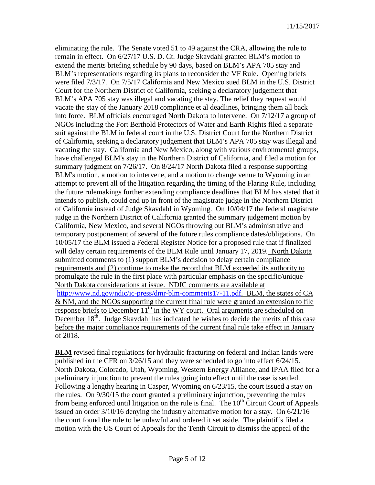eliminating the rule. The Senate voted 51 to 49 against the CRA, allowing the rule to remain in effect. On 6/27/17 U.S. D. Ct. Judge Skavdahl granted BLM's motion to extend the merits briefing schedule by 90 days, based on BLM's APA 705 stay and BLM's representations regarding its plans to reconsider the VF Rule. Opening briefs were filed 7/3/17. On 7/5/17 California and New Mexico sued BLM in the U.S. District Court for the Northern District of California, seeking a declaratory judgement that BLM's APA 705 stay was illegal and vacating the stay. The relief they request would vacate the stay of the January 2018 compliance et al deadlines, bringing them all back into force. BLM officials encouraged North Dakota to intervene. On 7/12/17 a group of NGOs including the Fort Berthold Protectors of Water and Earth Rights filed a separate suit against the BLM in federal court in the U.S. District Court for the Northern District of California, seeking a declaratory judgement that BLM's APA 705 stay was illegal and vacating the stay. California and New Mexico, along with various environmental groups, have challenged BLM's stay in the Northern District of California, and filed a motion for summary judgment on 7/26/17. On 8/24/17 North Dakota filed a response supporting BLM's motion, a motion to intervene, and a motion to change venue to Wyoming in an attempt to prevent all of the litigation regarding the timing of the Flaring Rule, including the future rulemakings further extending compliance deadlines that BLM has stated that it intends to publish, could end up in front of the magistrate judge in the Northern District of California instead of Judge Skavdahl in Wyoming. On 10/04/17 the federal magistrate judge in the Northern District of California granted the summary judgement motion by California, New Mexico, and several NGOs throwing out BLM's administrative and temporary postponement of several of the future rules compliance dates/obligations. On 10/05/17 the BLM issued a Federal Register Notice for a proposed rule that if finalized will delay certain requirements of the BLM Rule until January 17, 2019. North Dakota submitted comments to (1) support BLM's decision to delay certain compliance requirements and (2) continue to make the record that BLM exceeded its authority to promulgate the rule in the first place with particular emphasis on the specific/unique North Dakota considerations at issue. NDIC comments are available at [http://www.nd.gov/ndic/ic-press/dmr-blm-comments17-11.pdf.](http://www.nd.gov/ndic/ic-press/dmr-blm-comments17-11.pdf) BLM, the states of CA & NM, and the NGOs supporting the current final rule were granted an extension to file response briefs to December  $11^{th}$  in the WY court. Oral arguments are scheduled on December 18<sup>th</sup>. Judge Skavdahl has indicated he wishes to decide the merits of this case before the major compliance requirements of the current final rule take effect in January of 2018.

**BLM** revised final regulations for hydraulic fracturing on federal and Indian lands were published in the CFR on 3/26/15 and they were scheduled to go into effect 6/24/15. North Dakota, Colorado, Utah, Wyoming, Western Energy Alliance, and IPAA filed for a preliminary injunction to prevent the rules going into effect until the case is settled. Following a lengthy hearing in Casper, Wyoming on 6/23/15, the court issued a stay on the rules. On 9/30/15 the court granted a preliminary injunction, preventing the rules from being enforced until litigation on the rule is final. The  $10<sup>th</sup>$  Circuit Court of Appeals issued an order 3/10/16 denying the industry alternative motion for a stay. On 6/21/16 the court found the rule to be unlawful and ordered it set aside. The plaintiffs filed a motion with the US Court of Appeals for the Tenth Circuit to dismiss the appeal of the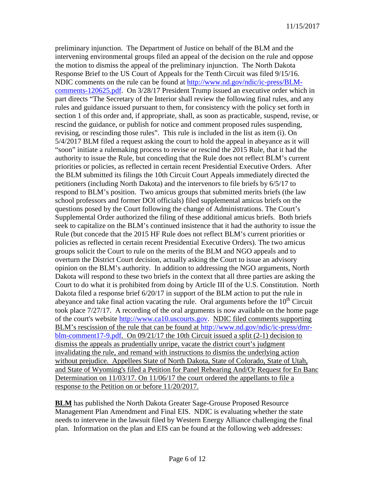preliminary injunction. The Department of Justice on behalf of the BLM and the intervening environmental groups filed an appeal of the decision on the rule and oppose the motion to dismiss the appeal of the preliminary injunction. The North Dakota Response Brief to the US Court of Appeals for the Tenth Circuit was filed 9/15/16. NDIC comments on the rule can be found at [http://www.nd.gov/ndic/ic-press/BLM](http://www.nd.gov/ndic/ic-press/BLM-comments-120625.pdf)[comments-120625.pdf.](http://www.nd.gov/ndic/ic-press/BLM-comments-120625.pdf) On 3/28/17 President Trump issued an executive order which in part directs "The Secretary of the Interior shall review the following final rules, and any rules and guidance issued pursuant to them, for consistency with the policy set forth in section 1 of this order and, if appropriate, shall, as soon as practicable, suspend, revise, or rescind the guidance, or publish for notice and comment proposed rules suspending, revising, or rescinding those rules". This rule is included in the list as item (i). On 5/4/2017 BLM filed a request asking the court to hold the appeal in abeyance as it will "soon" initiate a rulemaking process to revise or rescind the 2015 Rule, that it had the authority to issue the Rule, but conceding that the Rule does not reflect BLM's current priorities or policies, as reflected in certain recent Presidential Executive Orders. After the BLM submitted its filings the 10th Circuit Court Appeals immediately directed the petitioners (including North Dakota) and the intervenors to file briefs by 6/5/17 to respond to BLM's position. Two amicus groups that submitted merits briefs (the law school professors and former DOI officials) filed supplemental amicus briefs on the questions posed by the Court following the change of Administrations. The Court's Supplemental Order authorized the filing of these additional amicus briefs. Both briefs seek to capitalize on the BLM's continued insistence that it had the authority to issue the Rule (but concede that the 2015 HF Rule does not reflect BLM's current priorities or policies as reflected in certain recent Presidential Executive Orders). The two amicus groups solicit the Court to rule on the merits of the BLM and NGO appeals and to overturn the District Court decision, actually asking the Court to issue an advisory opinion on the BLM's authority. In addition to addressing the NGO arguments, North Dakota will respond to these two briefs in the context that all three parties are asking the Court to do what it is prohibited from doing by Article III of the U.S. Constitution. North Dakota filed a response brief 6/20/17 in support of the BLM action to put the rule in abeyance and take final action vacating the rule. Oral arguments before the  $10<sup>th</sup>$  Circuit took place 7/27/17. A recording of the oral arguments is now available on the home page of the court's website [http://www.ca10.uscourts.gov.](https://urldefense.proofpoint.com/v2/url?u=http-3A__www.ca10.uscourts.gov&d=DwMGaQ&c=2s2mvbfY0UoSKkl6_Ol9wg&r=-wqsZnBxny594KY8HeElow&m=Ul_VtJUX6iW5pvHjCcBxUWtskC0F4Dhry3sPtcEHvCw&s=laRHiLDv5w8otcQWQjpn82WMieoB2AZ-Q4M1LFQPL5s&e=) NDIC filed comments supporting BLM's rescission of the rule that can be found at [http://www.nd.gov/ndic/ic-press/dmr](http://www.nd.gov/ndic/ic-press/dmr-blm-comment17-9.pdf)[blm-comment17-9.pdf.](http://www.nd.gov/ndic/ic-press/dmr-blm-comment17-9.pdf) On 09/21/17 the 10th Circuit issued a split (2-1) decision to dismiss the appeals as prudentially unripe, vacate the district court's judgment invalidating the rule, and remand with instructions to dismiss the underlying action without prejudice. Appellees State of North Dakota, State of Colorado, State of Utah, and State of Wyoming's filed a Petition for Panel Rehearing And/Or Request for En Banc Determination on 11/03/17. On 11/06/17 the court ordered the appellants to file a response to the Petition on or before 11/20/2017.

**BLM** has published the North Dakota Greater Sage-Grouse Proposed Resource Management Plan Amendment and Final EIS. NDIC is evaluating whether the state needs to intervene in the lawsuit filed by Western Energy Alliance challenging the final plan. Information on the plan and EIS can be found at the following web addresses: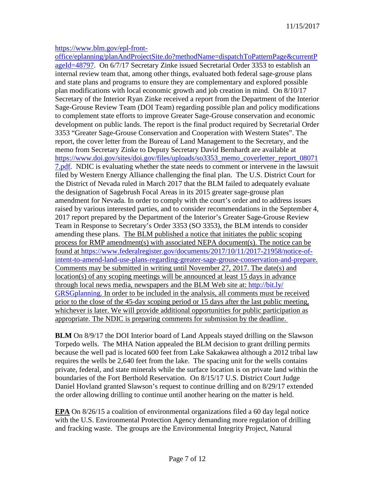#### [https://www.blm.gov/epl-front-](https://www.blm.gov/epl-front-office/eplanning/planAndProjectSite.do?methodName=dispatchToPatternPage¤tPageId=48797)

[office/eplanning/planAndProjectSite.do?methodName=dispatchToPatternPage&currentP](https://www.blm.gov/epl-front-office/eplanning/planAndProjectSite.do?methodName=dispatchToPatternPage¤tPageId=48797) [ageId=48797.](https://www.blm.gov/epl-front-office/eplanning/planAndProjectSite.do?methodName=dispatchToPatternPage¤tPageId=48797) On 6/7/17 Secretary Zinke issued Secretarial Order 3353 to establish an internal review team that, among other things, evaluated both federal sage-grouse plans and state plans and programs to ensure they are complementary and explored possible plan modifications with local economic growth and job creation in mind. On 8/10/17 Secretary of the Interior Ryan Zinke received a report from the Department of the Interior Sage-Grouse Review Team (DOI Team) regarding possible plan and policy modifications to complement state efforts to improve Greater Sage-Grouse conservation and economic development on public lands. The report is the final product required by Secretarial Order 3353 "Greater Sage-Grouse Conservation and Cooperation with Western States". The report, the cover letter from the Bureau of Land Management to the Secretary, and the memo from Secretary Zinke to Deputy Secretary David Bernhardt are available at [https://www.doi.gov/sites/doi.gov/files/uploads/so3353\\_memo\\_coverletter\\_report\\_08071](https://www.doi.gov/sites/doi.gov/files/uploads/so3353_memo_coverletter_report_080717.pdf) [7.pdf.](https://www.doi.gov/sites/doi.gov/files/uploads/so3353_memo_coverletter_report_080717.pdf) NDIC is evaluating whether the state needs to comment or intervene in the lawsuit filed by Western Energy Alliance challenging the final plan. The U.S. District Court for the District of Nevada ruled in March 2017 that the BLM failed to adequately evaluate the designation of Sagebrush Focal Areas in its 2015 greater sage-grouse plan amendment for Nevada. In order to comply with the court's order and to address issues raised by various interested parties, and to consider recommendations in the September 4, 2017 report prepared by the Department of the Interior's Greater Sage-Grouse Review Team in Response to Secretary's Order 3353 (SO 3353), the BLM intends to consider amending these plans. The BLM published a notice that initiates the public scoping process for RMP amendment(s) with associated NEPA document(s). The notice can be found at [https://www.federalregister.gov/documents/2017/10/11/2017-21958/notice-of](https://www.federalregister.gov/documents/2017/10/11/2017-21958/notice-of-intent-to-amend-land-use-plans-regarding-greater-sage-grouse-conservation-and-prepare)[intent-to-amend-land-use-plans-regarding-greater-sage-grouse-conservation-and-prepare.](https://www.federalregister.gov/documents/2017/10/11/2017-21958/notice-of-intent-to-amend-land-use-plans-regarding-greater-sage-grouse-conservation-and-prepare) Comments may be submitted in writing until November 27, 2017. The date(s) and location(s) of any scoping meetings will be announced at least 15 days in advance through local news media, newspapers and the BLM Web site at: [http://bit.ly/](http://bit.ly/%E2%80%8BGRSGplanning) [GRSGplanning.](http://bit.ly/%E2%80%8BGRSGplanning) In order to be included in the analysis, all comments must be received prior to the close of the 45-day scoping period or 15 days after the last public meeting, whichever is later. We will provide additional opportunities for public participation as appropriate. The NDIC is preparing comments for submission by the deadline.

**BLM** On 8/9/17 the DOI Interior board of Land Appeals stayed drilling on the Slawson Torpedo wells. The MHA Nation appealed the BLM decision to grant drilling permits because the well pad is located 600 feet from Lake Sakakawea although a 2012 tribal law requires the wells be 2,640 feet from the lake. The spacing unit for the wells contains private, federal, and state minerals while the surface location is on private land within the boundaries of the Fort Berthold Reservation. On 8/15/17 U.S. District Court Judge Daniel Hovland granted Slawson's request to continue drilling and on 8/29/17 extended the order allowing drilling to continue until another hearing on the matter is held.

**EPA** On 8/26/15 a coalition of environmental organizations filed a 60 day legal notice with the U.S. Environmental Protection Agency demanding more regulation of drilling and fracking waste. The groups are the Environmental Integrity Project, Natural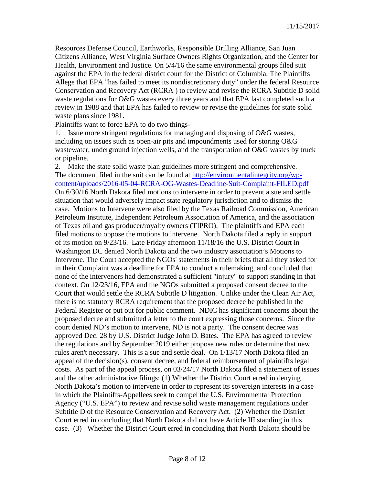Resources Defense Council, Earthworks, Responsible Drilling Alliance, San Juan Citizens Alliance, West Virginia Surface Owners Rights Organization, and the Center for Health, Environment and Justice. On 5/4/16 the same environmental groups filed suit against the EPA in the federal district court for the District of Columbia. The Plaintiffs Allege that EPA "has failed to meet its nondiscretionary duty" under the federal Resource Conservation and Recovery Act (RCRA ) to review and revise the RCRA Subtitle D solid waste regulations for O&G wastes every three years and that EPA last completed such a review in 1988 and that EPA has failed to review or revise the guidelines for state solid waste plans since 1981.

Plaintiffs want to force EPA to do two things-

1. Issue more stringent regulations for managing and disposing of O&G wastes, including on issues such as open-air pits and impoundments used for storing O&G wastewater, underground injection wells, and the transportation of O&G wastes by truck or pipeline.

2. Make the state solid waste plan guidelines more stringent and comprehensive. The document filed in the suit can be found at [http://environmentalintegrity.org/wp](http://environmentalintegrity.org/wp-content/uploads/2016-05-04-RCRA-OG-Wastes-Deadline-Suit-Complaint-FILED.pdf)[content/uploads/2016-05-04-RCRA-OG-Wastes-Deadline-Suit-Complaint-FILED.pdf](http://environmentalintegrity.org/wp-content/uploads/2016-05-04-RCRA-OG-Wastes-Deadline-Suit-Complaint-FILED.pdf) On 6/30/16 North Dakota filed motions to intervene in order to prevent a sue and settle situation that would adversely impact state regulatory jurisdiction and to dismiss the case. Motions to Intervene were also filed by the Texas Railroad Commission, American Petroleum Institute, Independent Petroleum Association of America, and the association of Texas oil and gas producer/royalty owners (TIPRO). The plaintiffs and EPA each filed motions to oppose the motions to intervene. North Dakota filed a reply in support of its motion on 9/23/16. Late Friday afternoon 11/18/16 the U.S. District Court in Washington DC denied North Dakota and the two industry association's Motions to Intervene. The Court accepted the NGOs' statements in their briefs that all they asked for in their Complaint was a deadline for EPA to conduct a rulemaking, and concluded that none of the intervenors had demonstrated a sufficient "injury" to support standing in that context. On 12/23/16, EPA and the NGOs submitted a proposed consent decree to the Court that would settle the RCRA Subtitle D litigation. Unlike under the Clean Air Act, there is no statutory RCRA requirement that the proposed decree be published in the Federal Register or put out for public comment. NDIC has significant concerns about the proposed decree and submitted a letter to the court expressing those concerns. Since the court denied ND's motion to intervene, ND is not a party. The consent decree was approved Dec. 28 by U.S. District Judge John D. Bates. The EPA has agreed to review the regulations and by September 2019 either propose new rules or determine that new rules aren't necessary. This is a sue and settle deal. On 1/13/17 North Dakota filed an appeal of the decision(s), consent decree, and federal reimbursement of plaintiffs legal costs. As part of the appeal process, on 03/24/17 North Dakota filed a statement of issues and the other administrative filings: (1) Whether the District Court erred in denying North Dakota's motion to intervene in order to represent its sovereign interests in a case in which the Plaintiffs-Appellees seek to compel the U.S. Environmental Protection Agency ("U.S. EPA") to review and revise solid waste management regulations under Subtitle D of the Resource Conservation and Recovery Act. (2) Whether the District Court erred in concluding that North Dakota did not have Article III standing in this case. (3) Whether the District Court erred in concluding that North Dakota should be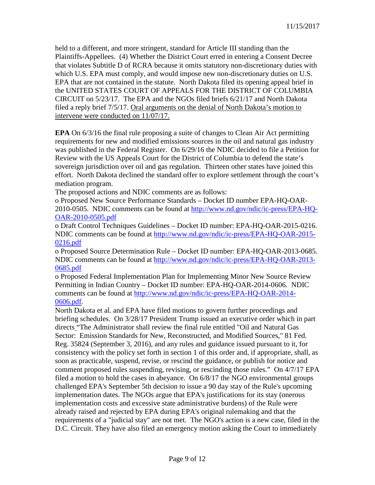held to a different, and more stringent, standard for Article III standing than the Plaintiffs-Appellees. (4) Whether the District Court erred in entering a Consent Decree that violates Subtitle D of RCRA because it omits statutory non-discretionary duties with which U.S. EPA must comply, and would impose new non-discretionary duties on U.S. EPA that are not contained in the statute. North Dakota filed its opening appeal brief in the UNITED STATES COURT OF APPEALS FOR THE DISTRICT OF COLUMBIA CIRCUIT on 5/23/17. The EPA and the NGOs filed briefs 6/21/17 and North Dakota filed a reply brief 7/5/17. Oral arguments on the denial of North Dakota's motion to intervene were conducted on 11/07/17.

**EPA** On 6/3/16 the final rule proposing a suite of changes to Clean Air Act permitting requirements for new and modified emissions sources in the oil and natural gas industry was published in the Federal Register. On 6/29/16 the NDIC decided to file a Petition for Review with the US Appeals Court for the District of Columbia to defend the state's sovereign jurisdiction over oil and gas regulation. Thirteen other states have joined this effort. North Dakota declined the standard offer to explore settlement through the court's mediation program.

The proposed actions and NDIC comments are as follows:

o Proposed New Source Performance Standards – Docket ID number EPA-HQ-OAR-2010-0505. NDIC comments can be found at [http://www.nd.gov/ndic/ic-press/EPA-HQ-](http://www.nd.gov/ndic/ic-press/EPA-HQ-OAR-2010-0505.pdf)[OAR-2010-0505.pdf](http://www.nd.gov/ndic/ic-press/EPA-HQ-OAR-2010-0505.pdf)

o Draft Control Techniques Guidelines – Docket ID number: EPA-HQ-OAR-2015-0216. NDIC comments can be found at [http://www.nd.gov/ndic/ic-press/EPA-HQ-OAR-2015-](http://www.nd.gov/ndic/ic-press/EPA-HQ-OAR-2015-0216.pdf) [0216.pdf](http://www.nd.gov/ndic/ic-press/EPA-HQ-OAR-2015-0216.pdf)

o Proposed Source Determination Rule – Docket ID number: EPA-HQ-OAR-2013-0685. NDIC comments can be found at [http://www.nd.gov/ndic/ic-press/EPA-HQ-OAR-2013-](http://www.nd.gov/ndic/ic-press/EPA-HQ-OAR-2013-0685.pdf) [0685.pdf](http://www.nd.gov/ndic/ic-press/EPA-HQ-OAR-2013-0685.pdf)

o Proposed Federal Implementation Plan for Implementing Minor New Source Review Permitting in Indian Country – Docket ID number: EPA-HQ-OAR-2014-0606. NDIC comments can be found at [http://www.nd.gov/ndic/ic-press/EPA-HQ-OAR-2014-](http://www.nd.gov/ndic/ic-press/EPA-HQ-OAR-2014-0606.pdf) [0606.pdf.](http://www.nd.gov/ndic/ic-press/EPA-HQ-OAR-2014-0606.pdf)

North Dakota et al. and EPA have filed motions to govern further proceedings and briefing schedules. On 3/28/17 President Trump issued an executive order which in part directs "The Administrator shall review the final rule entitled "Oil and Natural Gas Sector: Emission Standards for New, Reconstructed, and Modified Sources," 81 Fed. Reg. 35824 (September 3, 2016), and any rules and guidance issued pursuant to it, for consistency with the policy set forth in section 1 of this order and, if appropriate, shall, as soon as practicable, suspend, revise, or rescind the guidance, or publish for notice and comment proposed rules suspending, revising, or rescinding those rules." On 4/7/17 EPA filed a motion to hold the cases in abeyance. On 6/8/17 the NGO environmental groups challenged EPA's September 5th decision to issue a 90 day stay of the Rule's upcoming implementation dates. The NGOs argue that EPA's justifications for its stay (onerous implementation costs and excessive state administrative burdens) of the Rule were already raised and rejected by EPA during EPA's original rulemaking and that the requirements of a "judicial stay" are not met. The NGO's action is a new case, filed in the D.C. Circuit. They have also filed an emergency motion asking the Court to immediately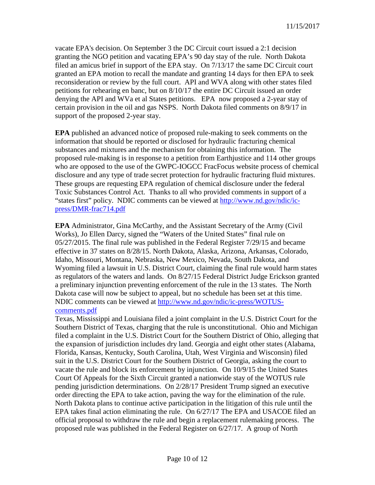vacate EPA's decision. On September 3 the DC Circuit court issued a 2:1 decision granting the NGO petition and vacating EPA's 90 day stay of the rule. North Dakota filed an amicus brief in support of the EPA stay. On 7/13/17 the same DC Circuit court granted an EPA motion to recall the mandate and granting 14 days for then EPA to seek reconsideration or review by the full court. API and WVA along with other states filed petitions for rehearing en banc, but on 8/10/17 the entire DC Circuit issued an order denying the API and WVa et al States petitions. EPA now proposed a 2-year stay of certain provision in the oil and gas NSPS. North Dakota filed comments on 8/9/17 in support of the proposed 2-year stay.

**EPA** published an advanced notice of proposed rule-making to seek comments on the information that should be reported or disclosed for hydraulic fracturing chemical substances and mixtures and the mechanism for obtaining this information. The proposed rule-making is in response to a petition from Earthjustice and 114 other groups who are opposed to the use of the GWPC-IOGCC FracFocus website process of chemical disclosure and any type of trade secret protection for hydraulic fracturing fluid mixtures. These groups are requesting EPA regulation of chemical disclosure under the federal Toxic Substances Control Act. Thanks to all who provided comments in support of a "states first" policy. NDIC comments can be viewed at [http://www.nd.gov/ndic/ic](http://www.nd.gov/ndic/ic-press/DMR-frac714.pdf)[press/DMR-frac714.pdf](http://www.nd.gov/ndic/ic-press/DMR-frac714.pdf)

**EPA** Administrator, Gina McCarthy, and the Assistant Secretary of the Army (Civil Works), Jo Ellen Darcy, signed the "Waters of the United States" final rule on 05/27/2015. The final rule was published in the Federal Register 7/29/15 and became effective in 37 states on 8/28/15. North Dakota, Alaska, Arizona, Arkansas, Colorado, Idaho, Missouri, Montana, Nebraska, New Mexico, Nevada, South Dakota, and Wyoming filed a lawsuit in U.S. District Court, claiming the final rule would harm states as regulators of the waters and lands. On 8/27/15 Federal District Judge Erickson granted a preliminary injunction preventing enforcement of the rule in the 13 states. The North Dakota case will now be subject to appeal, but no schedule has been set at this time. NDIC comments can be viewed at [http://www.nd.gov/ndic/ic-press/WOTUS](http://www.nd.gov/ndic/ic-press/WOTUS-comments.pdf)[comments.pdf](http://www.nd.gov/ndic/ic-press/WOTUS-comments.pdf)

Texas, Mississippi and Louisiana filed a joint complaint in the U.S. District Court for the Southern District of Texas, charging that the rule is unconstitutional. Ohio and Michigan filed a complaint in the U.S. District Court for the Southern District of Ohio, alleging that the expansion of jurisdiction includes dry land. Georgia and eight other states (Alabama, Florida, Kansas, Kentucky, South Carolina, Utah, West Virginia and Wisconsin) filed suit in the U.S. District Court for the Southern District of Georgia, asking the court to vacate the rule and block its enforcement by injunction. On 10/9/15 the United States Court Of Appeals for the Sixth Circuit granted a nationwide stay of the WOTUS rule pending jurisdiction determinations. On 2/28/17 President Trump signed an executive order directing the EPA to take action, paving the way for the elimination of the rule. North Dakota plans to continue active participation in the litigation of this rule until the EPA takes final action eliminating the rule. On 6/27/17 The EPA and USACOE filed an official proposal to withdraw the rule and begin a replacement rulemaking process. The proposed rule was published in the Federal Register on 6/27/17. A group of North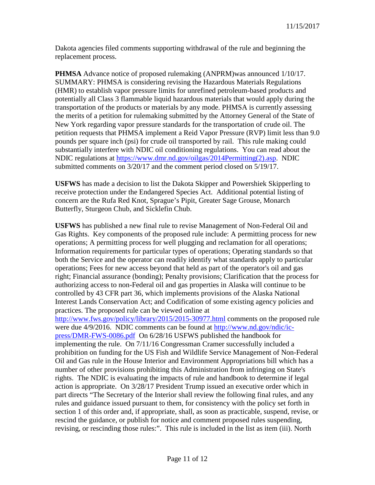Dakota agencies filed comments supporting withdrawal of the rule and beginning the replacement process.

**PHMSA** Advance notice of proposed rulemaking (ANPRM)was announced 1/10/17. SUMMARY: PHMSA is considering revising the Hazardous Materials Regulations (HMR) to establish vapor pressure limits for unrefined petroleum-based products and potentially all Class 3 flammable liquid hazardous materials that would apply during the transportation of the products or materials by any mode. PHMSA is currently assessing the merits of a petition for rulemaking submitted by the Attorney General of the State of New York regarding vapor pressure standards for the transportation of crude oil. The petition requests that PHMSA implement a Reid Vapor Pressure (RVP) limit less than 9.0 pounds per square inch (psi) for crude oil transported by rail. This rule making could substantially interfere with NDIC oil conditioning regulations. You can read about the NDIC regulations at [https://www.dmr.nd.gov/oilgas/2014Permitting\(2\).asp.](https://www.dmr.nd.gov/oilgas/2014Permitting(2).asp) NDIC submitted comments on 3/20/17 and the comment period closed on 5/19/17.

**USFWS** has made a decision to list the Dakota Skipper and Powershiek Skipperling to receive protection under the Endangered Species Act. Additional potential listing of concern are the Rufa Red Knot, Sprague's Pipit, Greater Sage Grouse, Monarch Butterfly, Sturgeon Chub, and Sicklefin Chub.

**USFWS** has published a new final rule to revise Management of Non-Federal Oil and Gas Rights. Key components of the proposed rule include: A permitting process for new operations; A permitting process for well plugging and reclamation for all operations; Information requirements for particular types of operations; Operating standards so that both the Service and the operator can readily identify what standards apply to particular operations; Fees for new access beyond that held as part of the operator's oil and gas right; Financial assurance (bonding); Penalty provisions; Clarification that the process for authorizing access to non-Federal oil and gas properties in Alaska will continue to be controlled by 43 CFR part 36, which implements provisions of the Alaska National Interest Lands Conservation Act; and Codification of some existing agency policies and practices. The proposed rule can be viewed online at <http://www.fws.gov/policy/library/2015/2015-30977.html> comments on the proposed rule were due 4/9/2016. NDIC comments can be found at [http://www.nd.gov/ndic/ic](http://www.nd.gov/ndic/ic-press/DMR-FWS-0086.pdf)[press/DMR-FWS-0086.pdf](http://www.nd.gov/ndic/ic-press/DMR-FWS-0086.pdf) On 6/28/16 USFWS published the handbook for implementing the rule. On 7/11/16 Congressman Cramer successfully included a prohibition on funding for the US Fish and Wildlife Service Management of Non-Federal Oil and Gas rule in the House Interior and Environment Appropriations bill which has a number of other provisions prohibiting this Administration from infringing on State's rights. The NDIC is evaluating the impacts of rule and handbook to determine if legal action is appropriate. On 3/28/17 President Trump issued an executive order which in part directs "The Secretary of the Interior shall review the following final rules, and any rules and guidance issued pursuant to them, for consistency with the policy set forth in section 1 of this order and, if appropriate, shall, as soon as practicable, suspend, revise, or rescind the guidance, or publish for notice and comment proposed rules suspending, revising, or rescinding those rules:". This rule is included in the list as item (iii). North